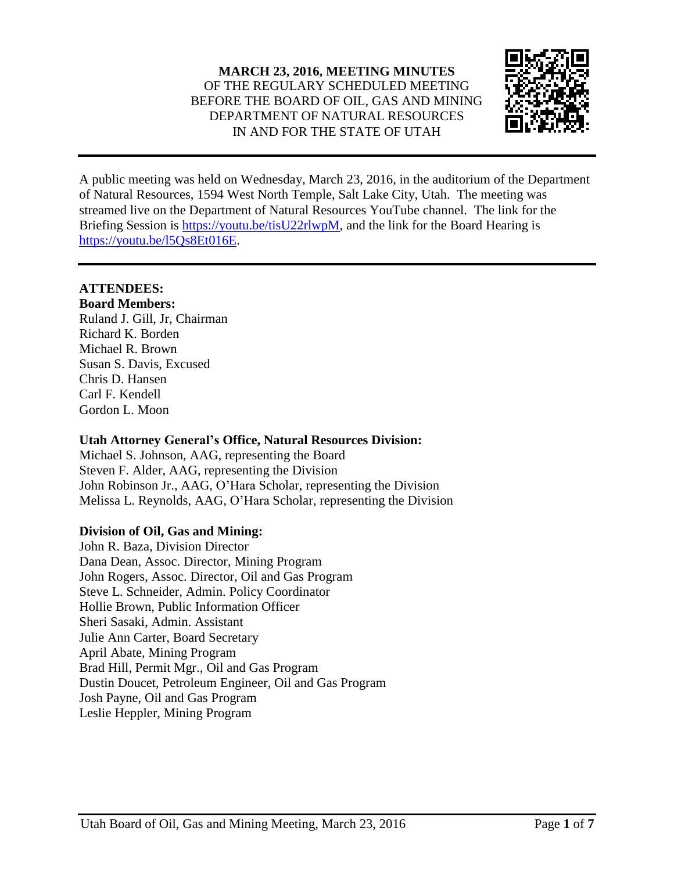

A public meeting was held on Wednesday, March 23, 2016, in the auditorium of the Department of Natural Resources, 1594 West North Temple, Salt Lake City, Utah. The meeting was streamed live on the Department of Natural Resources YouTube channel. The link for the Briefing Session is [https://youtu.be/tisU22rlwpM,](https://youtu.be/tisU22rlwpM) and the link for the Board Hearing is [https://youtu.be/l5Qs8Et016E.](https://youtu.be/l5Qs8Et016E)

# **ATTENDEES:**

**Board Members:** Ruland J. Gill, Jr, Chairman Richard K. Borden Michael R. Brown Susan S. Davis, Excused Chris D. Hansen Carl F. Kendell Gordon L. Moon

### **Utah Attorney General's Office, Natural Resources Division:**

Michael S. Johnson, AAG, representing the Board Steven F. Alder, AAG, representing the Division John Robinson Jr., AAG, O'Hara Scholar, representing the Division Melissa L. Reynolds, AAG, O'Hara Scholar, representing the Division

# **Division of Oil, Gas and Mining:**

John R. Baza, Division Director Dana Dean, Assoc. Director, Mining Program John Rogers, Assoc. Director, Oil and Gas Program Steve L. Schneider, Admin. Policy Coordinator Hollie Brown, Public Information Officer Sheri Sasaki, Admin. Assistant Julie Ann Carter, Board Secretary April Abate, Mining Program Brad Hill, Permit Mgr., Oil and Gas Program Dustin Doucet, Petroleum Engineer, Oil and Gas Program Josh Payne, Oil and Gas Program Leslie Heppler, Mining Program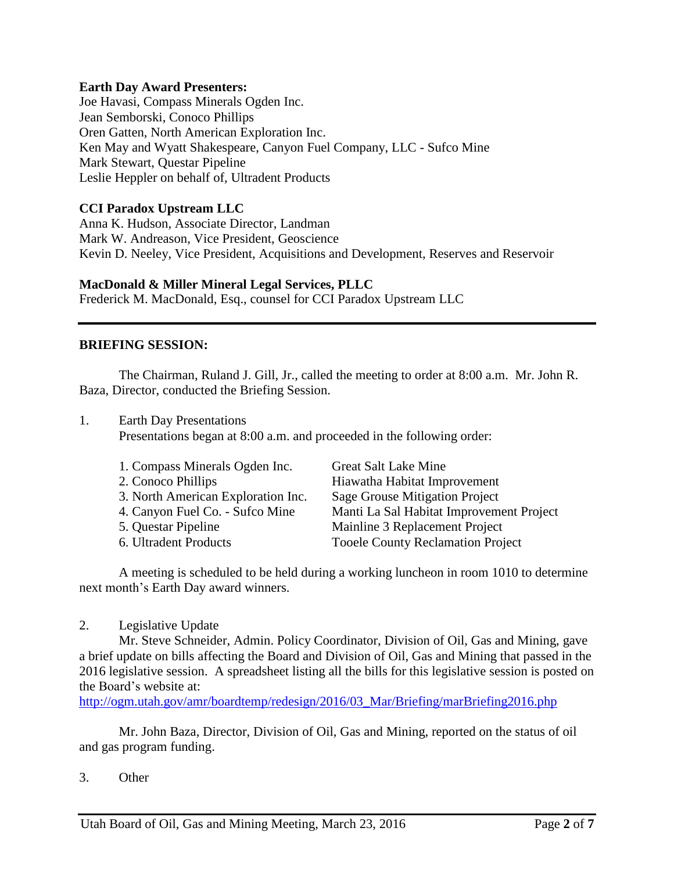#### **Earth Day Award Presenters:**

Joe Havasi, Compass Minerals Ogden Inc. Jean Semborski, Conoco Phillips Oren Gatten, North American Exploration Inc. Ken May and Wyatt Shakespeare, Canyon Fuel Company, LLC - Sufco Mine Mark Stewart, Questar Pipeline Leslie Heppler on behalf of, Ultradent Products

### **CCI Paradox Upstream LLC**

Anna K. Hudson, Associate Director, Landman Mark W. Andreason, Vice President, Geoscience Kevin D. Neeley, Vice President, Acquisitions and Development, Reserves and Reservoir

#### **MacDonald & Miller Mineral Legal Services, PLLC**

Frederick M. MacDonald, Esq., counsel for CCI Paradox Upstream LLC

#### **BRIEFING SESSION:**

The Chairman, Ruland J. Gill, Jr., called the meeting to order at 8:00 a.m. Mr. John R. Baza, Director, conducted the Briefing Session.

1. Earth Day Presentations Presentations began at 8:00 a.m. and proceeded in the following order:

| 1. Compass Minerals Ogden Inc.     | <b>Great Salt Lake Mine</b>              |
|------------------------------------|------------------------------------------|
| 2. Conoco Phillips                 | Hiawatha Habitat Improvement             |
| 3. North American Exploration Inc. | Sage Grouse Mitigation Project           |
| 4. Canyon Fuel Co. - Sufco Mine    | Manti La Sal Habitat Improvement Project |
| 5. Questar Pipeline                | Mainline 3 Replacement Project           |
| 6. Ultradent Products              | <b>Tooele County Reclamation Project</b> |

A meeting is scheduled to be held during a working luncheon in room 1010 to determine next month's Earth Day award winners.

2. Legislative Update

Mr. Steve Schneider, Admin. Policy Coordinator, Division of Oil, Gas and Mining, gave a brief update on bills affecting the Board and Division of Oil, Gas and Mining that passed in the 2016 legislative session. A spreadsheet listing all the bills for this legislative session is posted on the Board's website at:

[http://ogm.utah.gov/amr/boardtemp/redesign/2016/03\\_Mar/Briefing/marBriefing2016.php](http://ogm.utah.gov/amr/boardtemp/redesign/2016/03_Mar/Briefing/marBriefing2016.php)

Mr. John Baza, Director, Division of Oil, Gas and Mining, reported on the status of oil and gas program funding.

3. Other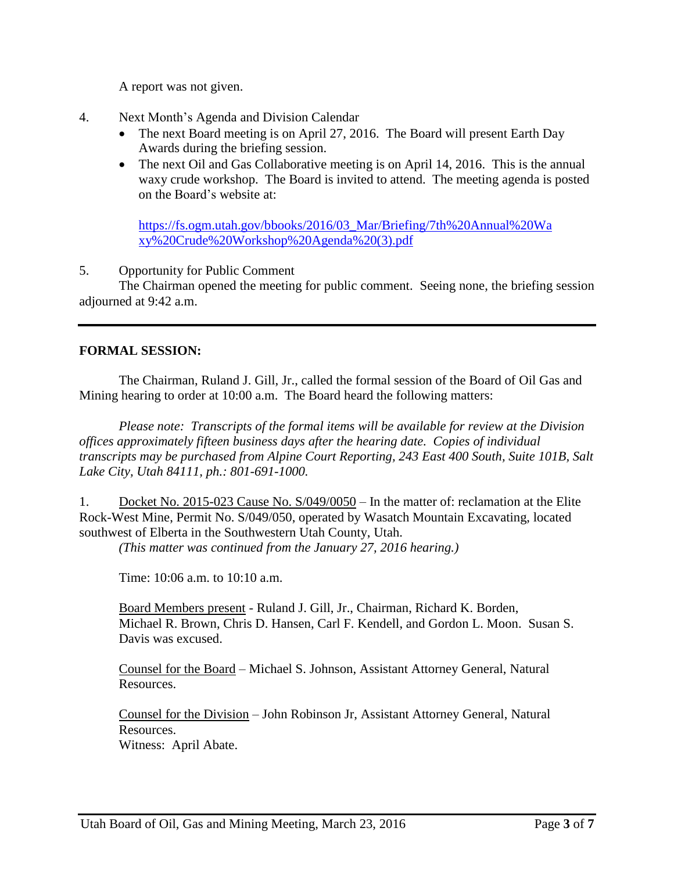A report was not given.

- 4. Next Month's Agenda and Division Calendar
	- The next Board meeting is on April 27, 2016. The Board will present Earth Day Awards during the briefing session.
	- The next Oil and Gas Collaborative meeting is on April 14, 2016. This is the annual waxy crude workshop. The Board is invited to attend. The meeting agenda is posted on the Board's website at:

[https://fs.ogm.utah.gov/bbooks/2016/03\\_Mar/Briefing/7th%20Annual%20Wa](https://fs.ogm.utah.gov/bbooks/2016/03_Mar/Briefing/7th%20Annual%20Waxy%20Crude%20Workshop%20Agenda%20(3).pdf) [xy%20Crude%20Workshop%20Agenda%20\(3\).pdf](https://fs.ogm.utah.gov/bbooks/2016/03_Mar/Briefing/7th%20Annual%20Waxy%20Crude%20Workshop%20Agenda%20(3).pdf)

5. Opportunity for Public Comment

The Chairman opened the meeting for public comment. Seeing none, the briefing session adjourned at 9:42 a.m.

# **FORMAL SESSION:**

The Chairman, Ruland J. Gill, Jr., called the formal session of the Board of Oil Gas and Mining hearing to order at 10:00 a.m. The Board heard the following matters:

*Please note: Transcripts of the formal items will be available for review at the Division offices approximately fifteen business days after the hearing date. Copies of individual transcripts may be purchased from Alpine Court Reporting, 243 East 400 South, Suite 101B, Salt Lake City, Utah 84111, ph.: 801-691-1000.*

1. Docket No. 2015-023 Cause No. S/049/0050 – In the matter of: reclamation at the Elite Rock-West Mine, Permit No. S/049/050, operated by Wasatch Mountain Excavating, located southwest of Elberta in the Southwestern Utah County, Utah.

*(This matter was continued from the January 27, 2016 hearing.)*

Time: 10:06 a.m. to 10:10 a.m.

Board Members present - Ruland J. Gill, Jr., Chairman, Richard K. Borden, Michael R. Brown, Chris D. Hansen, Carl F. Kendell, and Gordon L. Moon. Susan S. Davis was excused.

Counsel for the Board – Michael S. Johnson, Assistant Attorney General, Natural Resources.

Counsel for the Division – John Robinson Jr, Assistant Attorney General, Natural Resources. Witness: April Abate.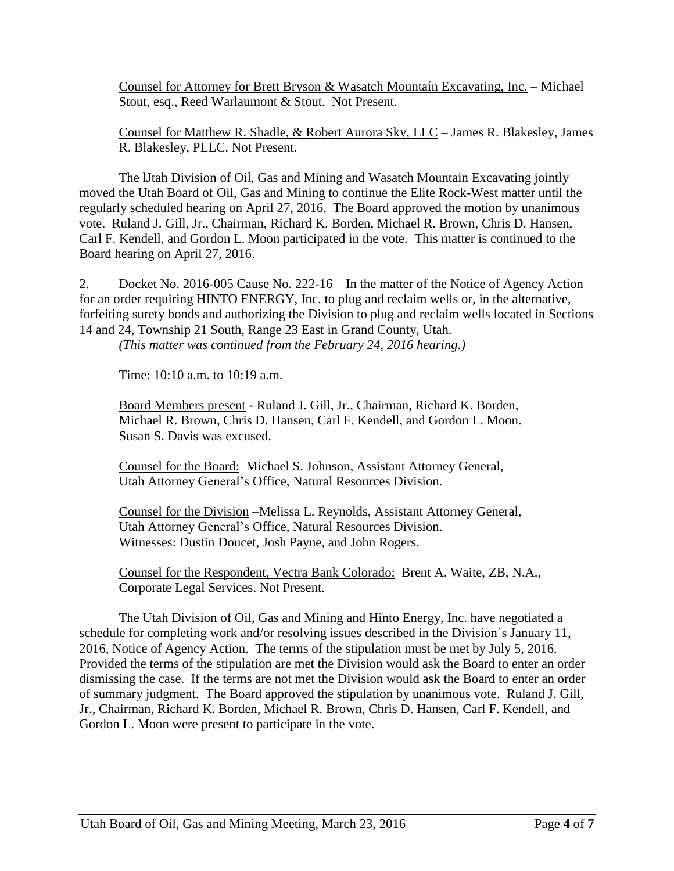Counsel for Attorney for Brett Bryson & Wasatch Mountaín Excavating, Inc. – Michael Stout, esq., Reed Warlaumont & Stout. Not Present.

Counsel for Matthew R. Shadle, & Robert Aurora Sky, LLC – James R. Blakesley, James R. Blakesley, PLLC. Not Present.

The lJtah Division of Oil, Gas and Mining and Wasatch Mountain Excavating jointly moved the Utah Board of Oil, Gas and Mining to continue the Elite Rock-West matter until the regularly scheduled hearing on April 27, 2016. The Board approved the motion by unanimous vote. Ruland J. Gill, Jr., Chairman, Richard K. Borden, Michael R. Brown, Chris D. Hansen, Carl F. Kendell, and Gordon L. Moon participated in the vote. This matter is continued to the Board hearing on April 27, 2016.

2. Docket No. 2016-005 Cause No. 222-16 – In the matter of the Notice of Agency Action for an order requiring HINTO ENERGY, Inc. to plug and reclaim wells or, in the alternative, forfeiting surety bonds and authorizing the Division to plug and reclaim wells located in Sections 14 and 24, Township 21 South, Range 23 East in Grand County, Utah.

*(This matter was continued from the February 24, 2016 hearing.)*

Time: 10:10 a.m. to 10:19 a.m.

Board Members present - Ruland J. Gill, Jr., Chairman, Richard K. Borden, Michael R. Brown, Chris D. Hansen, Carl F. Kendell, and Gordon L. Moon. Susan S. Davis was excused.

Counsel for the Board: Michael S. Johnson, Assistant Attorney General, Utah Attorney General's Office, Natural Resources Division.

Counsel for the Division –Melissa L. Reynolds, Assistant Attorney General, Utah Attorney General's Office, Natural Resources Division. Witnesses: Dustin Doucet, Josh Payne, and John Rogers.

Counsel for the Respondent, Vectra Bank Colorado: Brent A. Waite, ZB, N.A., Corporate Legal Services. Not Present.

The Utah Division of Oil, Gas and Mining and Hinto Energy, Inc. have negotiated a schedule for completing work and/or resolving issues described in the Division's January 11, 2016, Notice of Agency Action. The terms of the stipulation must be met by July 5, 2016. Provided the terms of the stipulation are met the Division would ask the Board to enter an order dismissing the case. If the terms are not met the Division would ask the Board to enter an order of summary judgment. The Board approved the stipulation by unanimous vote. Ruland J. Gill, Jr., Chairman, Richard K. Borden, Michael R. Brown, Chris D. Hansen, Carl F. Kendell, and Gordon L. Moon were present to participate in the vote.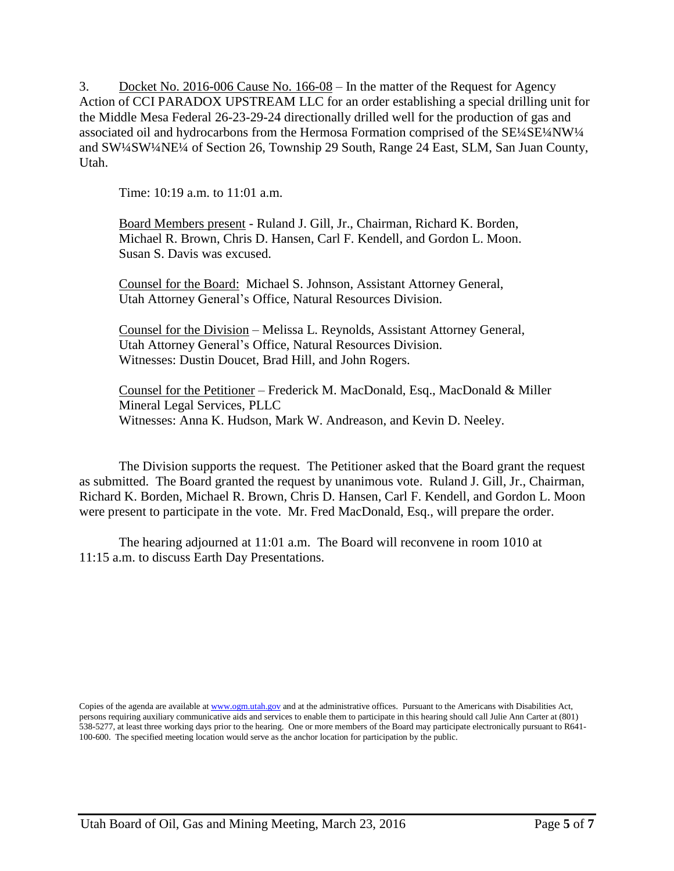3. Docket No. 2016-006 Cause No. 166-08 – In the matter of the Request for Agency Action of CCI PARADOX UPSTREAM LLC for an order establishing a special drilling unit for the Middle Mesa Federal 26-23-29-24 directionally drilled well for the production of gas and associated oil and hydrocarbons from the Hermosa Formation comprised of the SE¼SE¼NW¼ and SW¼SW¼NE¼ of Section 26, Township 29 South, Range 24 East, SLM, San Juan County, Utah.

Time: 10:19 a.m. to 11:01 a.m.

Board Members present - Ruland J. Gill, Jr., Chairman, Richard K. Borden, Michael R. Brown, Chris D. Hansen, Carl F. Kendell, and Gordon L. Moon. Susan S. Davis was excused.

Counsel for the Board: Michael S. Johnson, Assistant Attorney General, Utah Attorney General's Office, Natural Resources Division.

Counsel for the Division – Melissa L. Reynolds, Assistant Attorney General, Utah Attorney General's Office, Natural Resources Division. Witnesses: Dustin Doucet, Brad Hill, and John Rogers.

Counsel for the Petitioner – Frederick M. MacDonald, Esq., MacDonald & Miller Mineral Legal Services, PLLC Witnesses: Anna K. Hudson, Mark W. Andreason, and Kevin D. Neeley.

The Division supports the request. The Petitioner asked that the Board grant the request as submitted. The Board granted the request by unanimous vote. Ruland J. Gill, Jr., Chairman, Richard K. Borden, Michael R. Brown, Chris D. Hansen, Carl F. Kendell, and Gordon L. Moon were present to participate in the vote. Mr. Fred MacDonald, Esq., will prepare the order.

The hearing adjourned at 11:01 a.m. The Board will reconvene in room 1010 at 11:15 a.m. to discuss Earth Day Presentations.

Copies of the agenda are available at [www.ogm.utah.gov](http://www.ogm.utah.gov/) and at the administrative offices. Pursuant to the Americans with Disabilities Act, persons requiring auxiliary communicative aids and services to enable them to participate in this hearing should call Julie Ann Carter at (801) 538-5277, at least three working days prior to the hearing. One or more members of the Board may participate electronically pursuant to R641- 100-600. The specified meeting location would serve as the anchor location for participation by the public.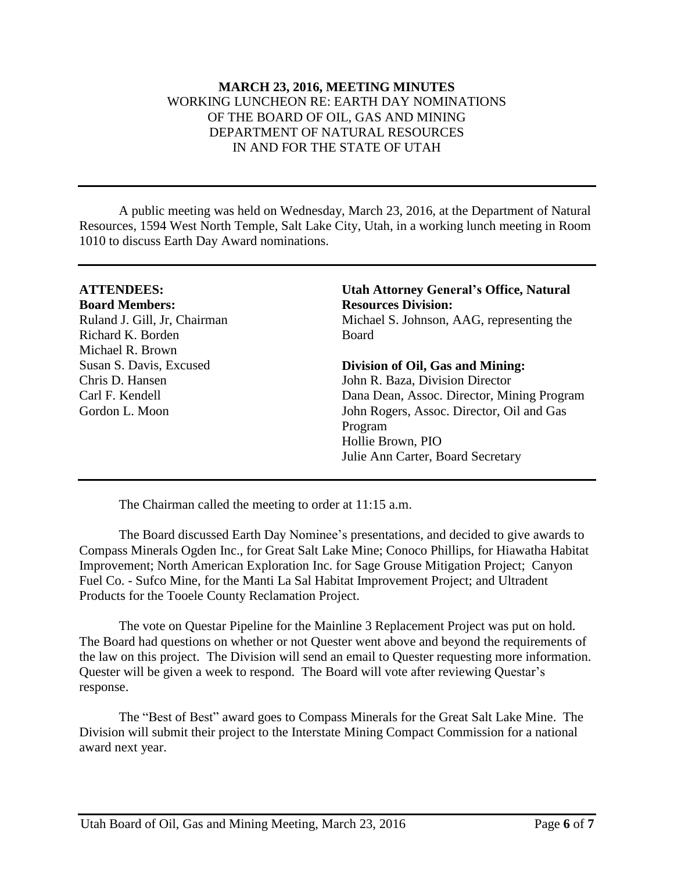#### **MARCH 23, 2016, MEETING MINUTES** WORKING LUNCHEON RE: EARTH DAY NOMINATIONS OF THE BOARD OF OIL, GAS AND MINING DEPARTMENT OF NATURAL RESOURCES IN AND FOR THE STATE OF UTAH

A public meeting was held on Wednesday, March 23, 2016, at the Department of Natural Resources, 1594 West North Temple, Salt Lake City, Utah, in a working lunch meeting in Room 1010 to discuss Earth Day Award nominations.

| <b>ATTENDEES:</b>            | <b>Utah Attorney General's Office, Natural</b> |
|------------------------------|------------------------------------------------|
| <b>Board Members:</b>        | <b>Resources Division:</b>                     |
| Ruland J. Gill, Jr, Chairman | Michael S. Johnson, AAG, representing the      |
| Richard K. Borden            | <b>Board</b>                                   |
| Michael R. Brown             |                                                |
| Susan S. Davis, Excused      | Division of Oil, Gas and Mining:               |
| Chris D. Hansen              | John R. Baza, Division Director                |
| Carl F. Kendell              | Dana Dean, Assoc. Director, Mining Program     |
| Gordon L. Moon               | John Rogers, Assoc. Director, Oil and Gas      |
|                              | Program                                        |
|                              | Hollie Brown, PIO                              |
|                              | Julie Ann Carter, Board Secretary              |

The Chairman called the meeting to order at 11:15 a.m.

The Board discussed Earth Day Nominee's presentations, and decided to give awards to Compass Minerals Ogden Inc., for Great Salt Lake Mine; Conoco Phillips, for Hiawatha Habitat Improvement; North American Exploration Inc. for Sage Grouse Mitigation Project; Canyon Fuel Co. - Sufco Mine, for the Manti La Sal Habitat Improvement Project; and Ultradent Products for the Tooele County Reclamation Project.

The vote on Questar Pipeline for the Mainline 3 Replacement Project was put on hold. The Board had questions on whether or not Quester went above and beyond the requirements of the law on this project. The Division will send an email to Quester requesting more information. Quester will be given a week to respond. The Board will vote after reviewing Questar's response.

The "Best of Best" award goes to Compass Minerals for the Great Salt Lake Mine. The Division will submit their project to the Interstate Mining Compact Commission for a national award next year.